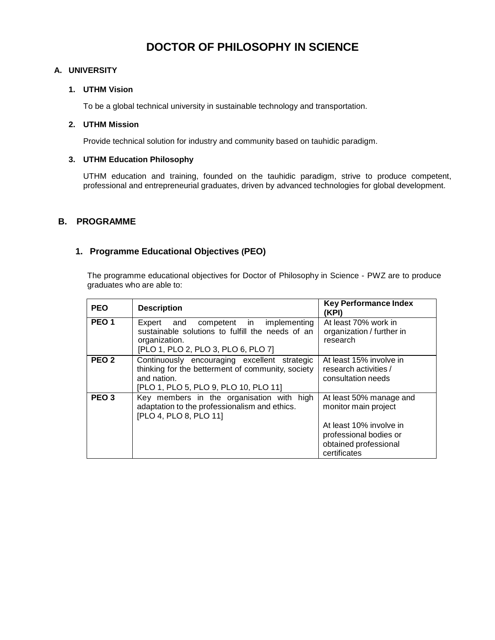# **DOCTOR OF PHILOSOPHY IN SCIENCE**

#### **A. UNIVERSITY**

#### **1. UTHM Vision**

To be a global technical university in sustainable technology and transportation.

#### **2. UTHM Mission**

Provide technical solution for industry and community based on tauhidic paradigm.

#### **3. UTHM Education Philosophy**

UTHM education and training, founded on the tauhidic paradigm, strive to produce competent, professional and entrepreneurial graduates, driven by advanced technologies for global development.

#### **B. PROGRAMME**

### **1. Programme Educational Objectives (PEO)**

The programme educational objectives for Doctor of Philosophy in Science - PWZ are to produce graduates who are able to:

| <b>PEO</b>       | <b>Description</b>                                                                                                                                        | <b>Key Performance Index</b><br>(KPI)                                                                                                         |  |
|------------------|-----------------------------------------------------------------------------------------------------------------------------------------------------------|-----------------------------------------------------------------------------------------------------------------------------------------------|--|
| PEO <sub>1</sub> | competent in<br>Expert and<br>implementing<br>sustainable solutions to fulfill the needs of an<br>organization.<br>[PLO 1, PLO 2, PLO 3, PLO 6, PLO 7]    | At least 70% work in<br>organization / further in<br>research                                                                                 |  |
| PEO <sub>2</sub> | Continuously encouraging excellent strategic<br>thinking for the betterment of community, society<br>and nation.<br>[PLO 1, PLO 5, PLO 9, PLO 10, PLO 11] | At least 15% involve in<br>research activities /<br>consultation needs                                                                        |  |
| PEO <sub>3</sub> | Key members in the organisation with high<br>adaptation to the professionalism and ethics.<br>[PLO 4, PLO 8, PLO 11]                                      | At least 50% manage and<br>monitor main project<br>At least 10% involve in<br>professional bodies or<br>obtained professional<br>certificates |  |